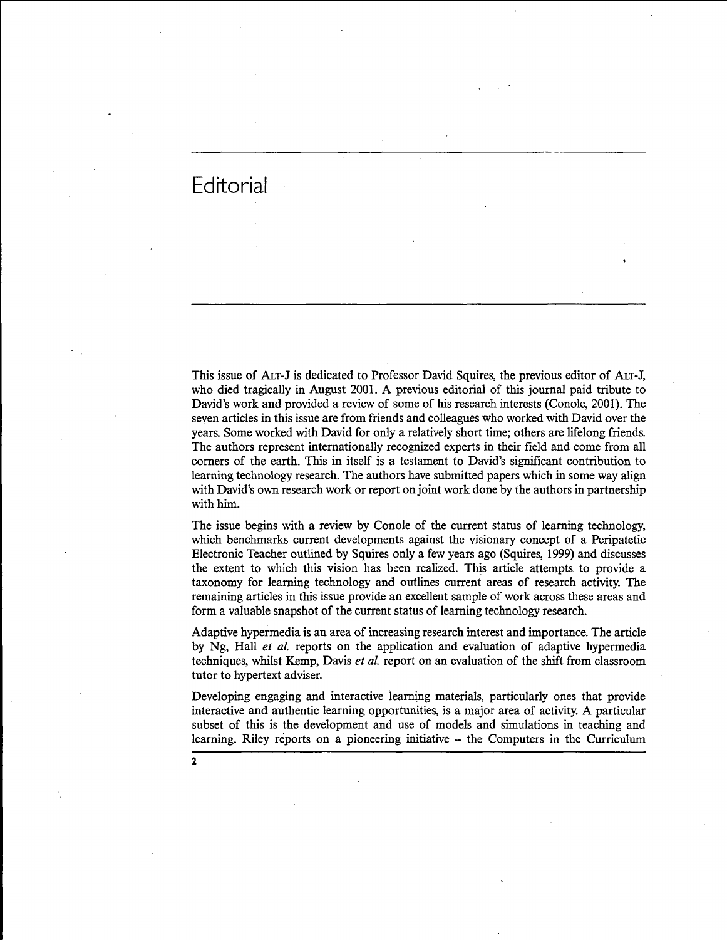Editorial

**2**

This issue of ALT-J is dedicated to Professor David Squires, the previous editor of ALT-J, who died tragically in August 2001. A previous editorial of this journal paid tribute to David's work and provided a review of some of his research interests (Conole, 2001). The seven articles in this issue are from friends and colleagues who worked with David over the years. Some worked with David for only a relatively short time; others are lifelong friends. The authors represent internationally recognized experts in their field and come from all corners of the earth. This in itself is a testament to David's significant contribution to learning technology research. The authors have submitted papers which in some way align with David's own research work or report on joint work done by the authors in partnership with him.

The issue begins with a review by Conole of the current status of learning technology, which benchmarks current developments against the visionary concept of a Peripatetic Electronic Teacher outlined by Squires only a few years ago (Squires, 1999) and discusses the extent to which this vision has been realized. This article attempts to provide a taxonomy for learning technology and outlines current areas of research activity. The remaining articles in this issue provide an excellent sample of work across these areas and form a valuable snapshot of the current status of learning technology research.

Adaptive hypermedia is an area of increasing research interest and importance. The article by Ng, Hall *et al.* reports on the application and evaluation of adaptive hypermedia techniques, whilst Kemp, Davis *et al.* report on an evaluation of the shift from classroom tutor to hypertext adviser.

Developing engaging and interactive learning materials, particularly ones that provide interactive and authentic learning opportunities, is a major area of activity. A particular subset of this is the development and use of models and simulations in teaching and learning. Riley reports on a pioneering initiative - the Computers in the Curriculum